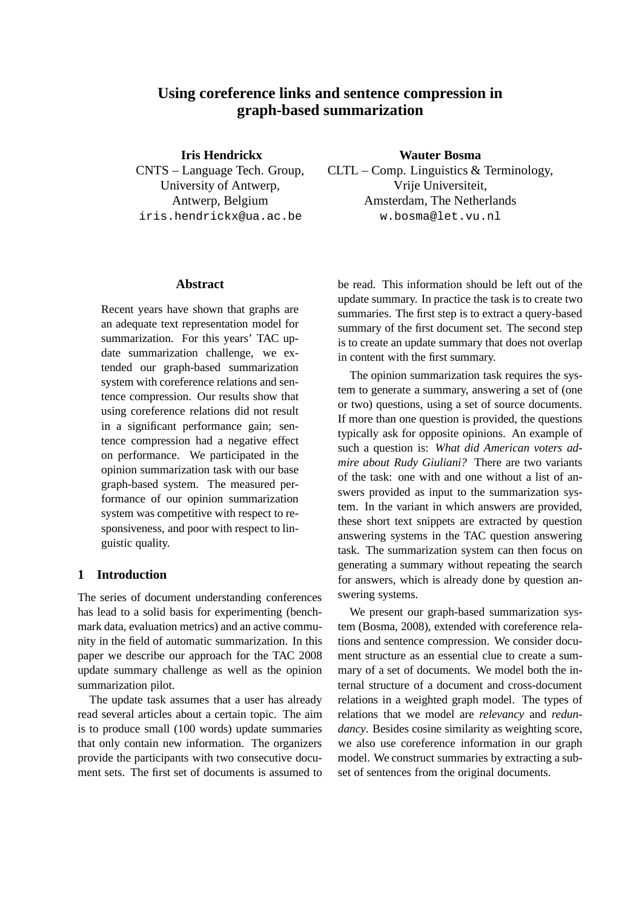# **Using coreference links and sentence compression in graph-based summarization**

**Iris Hendrickx** CNTS – Language Tech. Group, University of Antwerp, Antwerp, Belgium iris.hendrickx@ua.ac.be

#### **Abstract**

Recent years have shown that graphs are an adequate text representation model for summarization. For this years' TAC update summarization challenge, we extended our graph-based summarization system with coreference relations and sentence compression. Our results show that using coreference relations did not result in a significant performance gain; sentence compression had a negative effect on performance. We participated in the opinion summarization task with our base graph-based system. The measured performance of our opinion summarization system was competitive with respect to responsiveness, and poor with respect to linguistic quality.

## **1 Introduction**

The series of document understanding conferences has lead to a solid basis for experimenting (benchmark data, evaluation metrics) and an active community in the field of automatic summarization. In this paper we describe our approach for the TAC 2008 update summary challenge as well as the opinion summarization pilot.

The update task assumes that a user has already read several articles about a certain topic. The aim is to produce small (100 words) update summaries that only contain new information. The organizers provide the participants with two consecutive document sets. The first set of documents is assumed to **Wauter Bosma**

CLTL – Comp. Linguistics & Terminology, Vrije Universiteit, Amsterdam, The Netherlands w.bosma@let.vu.nl

be read. This information should be left out of the update summary. In practice the task is to create two summaries. The first step is to extract a query-based summary of the first document set. The second step is to create an update summary that does not overlap in content with the first summary.

The opinion summarization task requires the system to generate a summary, answering a set of (one or two) questions, using a set of source documents. If more than one question is provided, the questions typically ask for opposite opinions. An example of such a question is: *What did American voters admire about Rudy Giuliani?* There are two variants of the task: one with and one without a list of answers provided as input to the summarization system. In the variant in which answers are provided, these short text snippets are extracted by question answering systems in the TAC question answering task. The summarization system can then focus on generating a summary without repeating the search for answers, which is already done by question answering systems.

We present our graph-based summarization system (Bosma, 2008), extended with coreference relations and sentence compression. We consider document structure as an essential clue to create a summary of a set of documents. We model both the internal structure of a document and cross-document relations in a weighted graph model. The types of relations that we model are *relevancy* and *redundancy*. Besides cosine similarity as weighting score, we also use coreference information in our graph model. We construct summaries by extracting a subset of sentences from the original documents.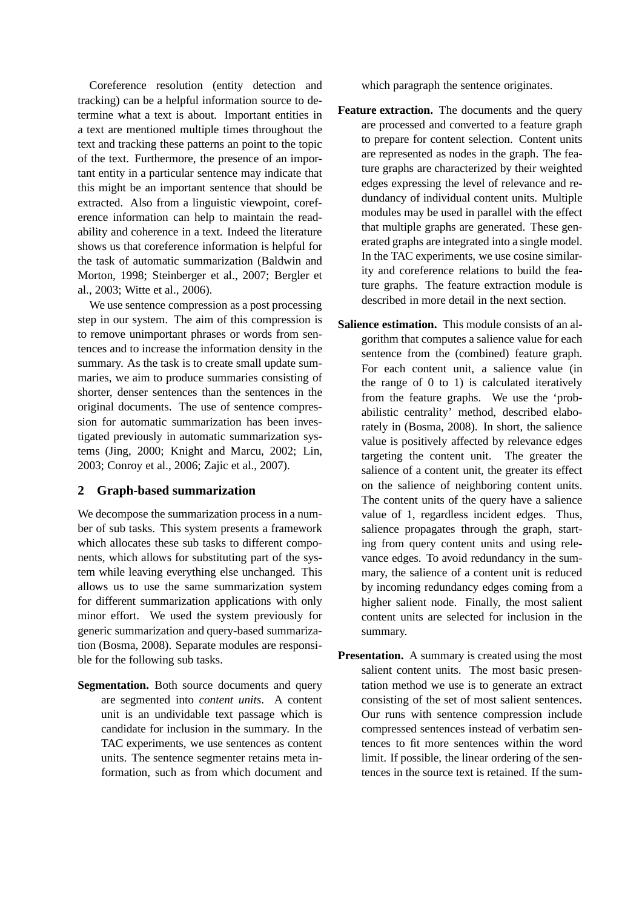Coreference resolution (entity detection and tracking) can be a helpful information source to determine what a text is about. Important entities in a text are mentioned multiple times throughout the text and tracking these patterns an point to the topic of the text. Furthermore, the presence of an important entity in a particular sentence may indicate that this might be an important sentence that should be extracted. Also from a linguistic viewpoint, coreference information can help to maintain the readability and coherence in a text. Indeed the literature shows us that coreference information is helpful for the task of automatic summarization (Baldwin and Morton, 1998; Steinberger et al., 2007; Bergler et al., 2003; Witte et al., 2006).

We use sentence compression as a post processing step in our system. The aim of this compression is to remove unimportant phrases or words from sentences and to increase the information density in the summary. As the task is to create small update summaries, we aim to produce summaries consisting of shorter, denser sentences than the sentences in the original documents. The use of sentence compression for automatic summarization has been investigated previously in automatic summarization systems (Jing, 2000; Knight and Marcu, 2002; Lin, 2003; Conroy et al., 2006; Zajic et al., 2007).

## **2 Graph-based summarization**

We decompose the summarization process in a number of sub tasks. This system presents a framework which allocates these sub tasks to different components, which allows for substituting part of the system while leaving everything else unchanged. This allows us to use the same summarization system for different summarization applications with only minor effort. We used the system previously for generic summarization and query-based summarization (Bosma, 2008). Separate modules are responsible for the following sub tasks.

**Segmentation.** Both source documents and query are segmented into *content units*. A content unit is an undividable text passage which is candidate for inclusion in the summary. In the TAC experiments, we use sentences as content units. The sentence segmenter retains meta information, such as from which document and which paragraph the sentence originates.

- **Feature extraction.** The documents and the query are processed and converted to a feature graph to prepare for content selection. Content units are represented as nodes in the graph. The feature graphs are characterized by their weighted edges expressing the level of relevance and redundancy of individual content units. Multiple modules may be used in parallel with the effect that multiple graphs are generated. These generated graphs are integrated into a single model. In the TAC experiments, we use cosine similarity and coreference relations to build the feature graphs. The feature extraction module is described in more detail in the next section.
- **Salience estimation.** This module consists of an algorithm that computes a salience value for each sentence from the (combined) feature graph. For each content unit, a salience value (in the range of 0 to 1) is calculated iteratively from the feature graphs. We use the 'probabilistic centrality' method, described elaborately in (Bosma, 2008). In short, the salience value is positively affected by relevance edges targeting the content unit. The greater the salience of a content unit, the greater its effect on the salience of neighboring content units. The content units of the query have a salience value of 1, regardless incident edges. Thus, salience propagates through the graph, starting from query content units and using relevance edges. To avoid redundancy in the summary, the salience of a content unit is reduced by incoming redundancy edges coming from a higher salient node. Finally, the most salient content units are selected for inclusion in the summary.
- **Presentation.** A summary is created using the most salient content units. The most basic presentation method we use is to generate an extract consisting of the set of most salient sentences. Our runs with sentence compression include compressed sentences instead of verbatim sentences to fit more sentences within the word limit. If possible, the linear ordering of the sentences in the source text is retained. If the sum-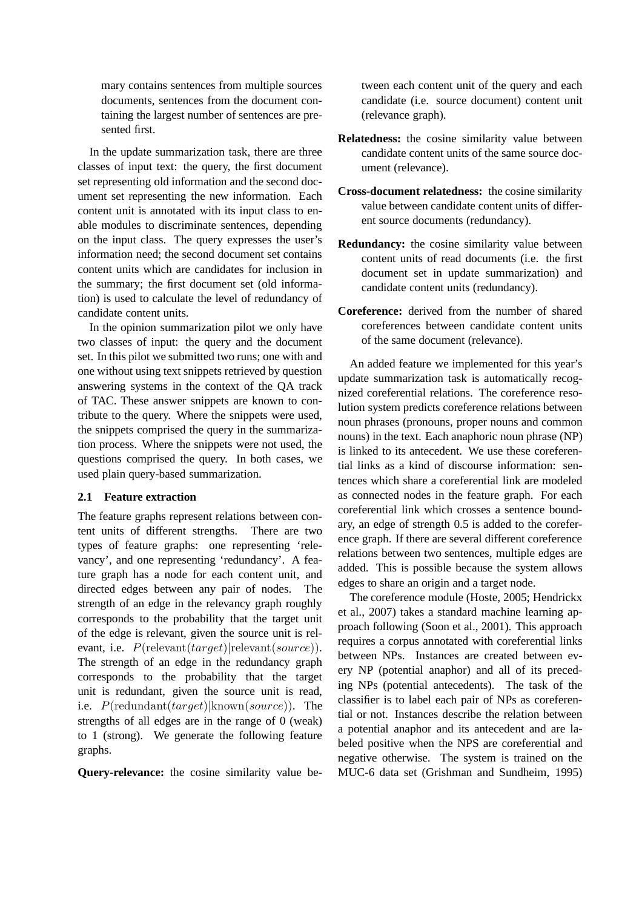mary contains sentences from multiple sources documents, sentences from the document containing the largest number of sentences are presented first.

In the update summarization task, there are three classes of input text: the query, the first document set representing old information and the second document set representing the new information. Each content unit is annotated with its input class to enable modules to discriminate sentences, depending on the input class. The query expresses the user's information need; the second document set contains content units which are candidates for inclusion in the summary; the first document set (old information) is used to calculate the level of redundancy of candidate content units.

In the opinion summarization pilot we only have two classes of input: the query and the document set. In this pilot we submitted two runs; one with and one without using text snippets retrieved by question answering systems in the context of the QA track of TAC. These answer snippets are known to contribute to the query. Where the snippets were used, the snippets comprised the query in the summarization process. Where the snippets were not used, the questions comprised the query. In both cases, we used plain query-based summarization.

#### **2.1 Feature extraction**

The feature graphs represent relations between content units of different strengths. There are two types of feature graphs: one representing 'relevancy', and one representing 'redundancy'. A feature graph has a node for each content unit, and directed edges between any pair of nodes. The strength of an edge in the relevancy graph roughly corresponds to the probability that the target unit of the edge is relevant, given the source unit is relevant, i.e.  $P(\text{relevant}(target)|\text{relevant}(source)).$ The strength of an edge in the redundancy graph corresponds to the probability that the target unit is redundant, given the source unit is read, i.e.  $P(\text{redundant}(target)|\text{known}(source)).$  The strengths of all edges are in the range of 0 (weak) to 1 (strong). We generate the following feature graphs.

**Query-relevance:** the cosine similarity value be-

tween each content unit of the query and each candidate (i.e. source document) content unit (relevance graph).

- **Relatedness:** the cosine similarity value between candidate content units of the same source document (relevance).
- **Cross-document relatedness:** the cosine similarity value between candidate content units of different source documents (redundancy).
- **Redundancy:** the cosine similarity value between content units of read documents (i.e. the first document set in update summarization) and candidate content units (redundancy).
- **Coreference:** derived from the number of shared coreferences between candidate content units of the same document (relevance).

An added feature we implemented for this year's update summarization task is automatically recognized coreferential relations. The coreference resolution system predicts coreference relations between noun phrases (pronouns, proper nouns and common nouns) in the text. Each anaphoric noun phrase (NP) is linked to its antecedent. We use these coreferential links as a kind of discourse information: sentences which share a coreferential link are modeled as connected nodes in the feature graph. For each coreferential link which crosses a sentence boundary, an edge of strength 0.5 is added to the coreference graph. If there are several different coreference relations between two sentences, multiple edges are added. This is possible because the system allows edges to share an origin and a target node.

The coreference module (Hoste, 2005; Hendrickx et al., 2007) takes a standard machine learning approach following (Soon et al., 2001). This approach requires a corpus annotated with coreferential links between NPs. Instances are created between every NP (potential anaphor) and all of its preceding NPs (potential antecedents). The task of the classifier is to label each pair of NPs as coreferential or not. Instances describe the relation between a potential anaphor and its antecedent and are labeled positive when the NPS are coreferential and negative otherwise. The system is trained on the MUC-6 data set (Grishman and Sundheim, 1995)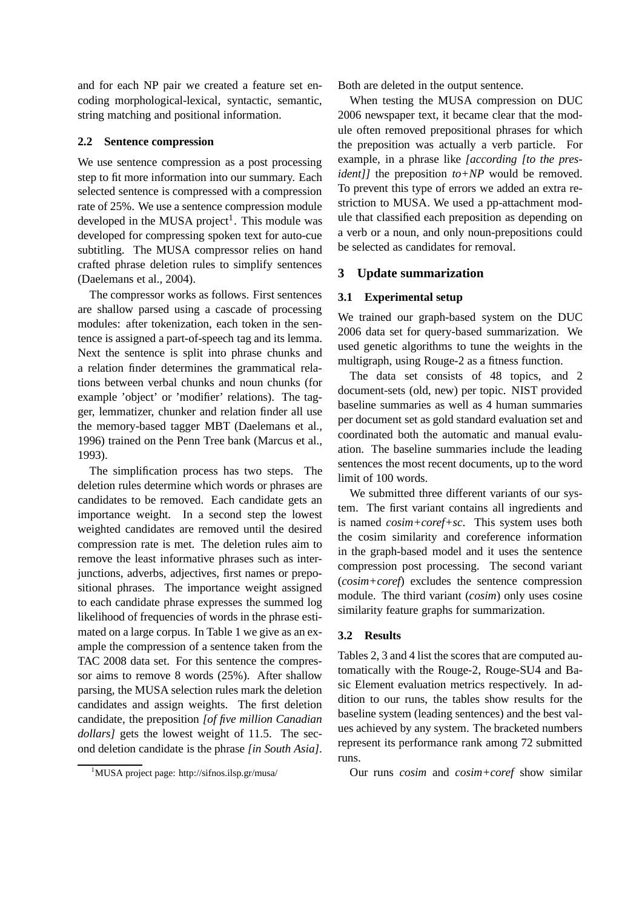and for each NP pair we created a feature set encoding morphological-lexical, syntactic, semantic, string matching and positional information.

## **2.2 Sentence compression**

We use sentence compression as a post processing step to fit more information into our summary. Each selected sentence is compressed with a compression rate of 25%. We use a sentence compression module developed in the MUSA project<sup>1</sup>. This module was developed for compressing spoken text for auto-cue subtitling. The MUSA compressor relies on hand crafted phrase deletion rules to simplify sentences (Daelemans et al., 2004).

The compressor works as follows. First sentences are shallow parsed using a cascade of processing modules: after tokenization, each token in the sentence is assigned a part-of-speech tag and its lemma. Next the sentence is split into phrase chunks and a relation finder determines the grammatical relations between verbal chunks and noun chunks (for example 'object' or 'modifier' relations). The tagger, lemmatizer, chunker and relation finder all use the memory-based tagger MBT (Daelemans et al., 1996) trained on the Penn Tree bank (Marcus et al., 1993).

The simplification process has two steps. The deletion rules determine which words or phrases are candidates to be removed. Each candidate gets an importance weight. In a second step the lowest weighted candidates are removed until the desired compression rate is met. The deletion rules aim to remove the least informative phrases such as interjunctions, adverbs, adjectives, first names or prepositional phrases. The importance weight assigned to each candidate phrase expresses the summed log likelihood of frequencies of words in the phrase estimated on a large corpus. In Table 1 we give as an example the compression of a sentence taken from the TAC 2008 data set. For this sentence the compressor aims to remove 8 words (25%). After shallow parsing, the MUSA selection rules mark the deletion candidates and assign weights. The first deletion candidate, the preposition *[of five million Canadian dollars]* gets the lowest weight of 11.5. The second deletion candidate is the phrase *[in South Asia]*.

<sup>1</sup>MUSA project page: http://sifnos.ilsp.gr/musa/

Both are deleted in the output sentence.

When testing the MUSA compression on DUC 2006 newspaper text, it became clear that the module often removed prepositional phrases for which the preposition was actually a verb particle. For example, in a phrase like *[according [to the president]]* the preposition *to+NP* would be removed. To prevent this type of errors we added an extra restriction to MUSA. We used a pp-attachment module that classified each preposition as depending on a verb or a noun, and only noun-prepositions could be selected as candidates for removal.

## **3 Update summarization**

## **3.1 Experimental setup**

We trained our graph-based system on the DUC 2006 data set for query-based summarization. We used genetic algorithms to tune the weights in the multigraph, using Rouge-2 as a fitness function.

The data set consists of 48 topics, and 2 document-sets (old, new) per topic. NIST provided baseline summaries as well as 4 human summaries per document set as gold standard evaluation set and coordinated both the automatic and manual evaluation. The baseline summaries include the leading sentences the most recent documents, up to the word limit of 100 words.

We submitted three different variants of our system. The first variant contains all ingredients and is named *cosim+coref+sc*. This system uses both the cosim similarity and coreference information in the graph-based model and it uses the sentence compression post processing. The second variant (*cosim+coref*) excludes the sentence compression module. The third variant (*cosim*) only uses cosine similarity feature graphs for summarization.

#### **3.2 Results**

Tables 2, 3 and 4 list the scores that are computed automatically with the Rouge-2, Rouge-SU4 and Basic Element evaluation metrics respectively. In addition to our runs, the tables show results for the baseline system (leading sentences) and the best values achieved by any system. The bracketed numbers represent its performance rank among 72 submitted runs.

Our runs *cosim* and *cosim+coref* show similar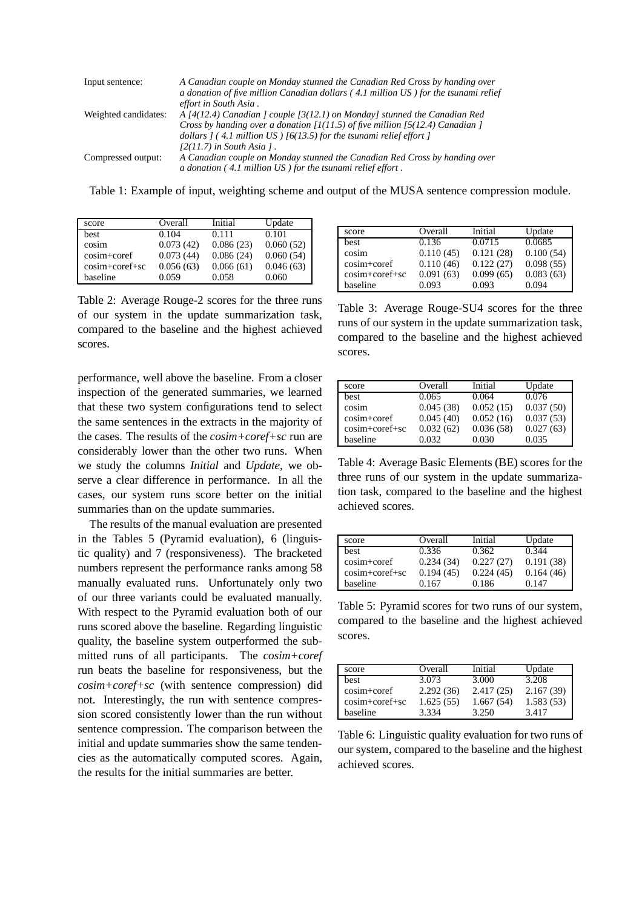| Input sentence:      | A Canadian couple on Monday stunned the Canadian Red Cross by handing over<br>a donation of five million Canadian dollars (4.1 million US) for the tsunami relief<br>effort in South Asia.                                                        |
|----------------------|---------------------------------------------------------------------------------------------------------------------------------------------------------------------------------------------------------------------------------------------------|
| Weighted candidates: | A [4(12.4) Canadian ] couple $[3(12.1)$ on Monday] stunned the Canadian Red<br>Cross by handing over a donation $[1(11.5)$ of five million [5(12.4) Canadian ]<br>dollars $(4.1 \text{ million US})$ $(6(13.5)$ for the tsunami relief effort $($ |
| Compressed output:   | $[2(11.7)$ in South Asia 1.<br>A Canadian couple on Monday stunned the Canadian Red Cross by handing over<br>a donation (4.1 million US) for the tsunami relief effort.                                                                           |

Table 1: Example of input, weighting scheme and output of the MUSA sentence compression module.

| score          | Overall   | Initial   | Update    |
|----------------|-----------|-----------|-----------|
| best           | 0.104     | 0.111     | 0.101     |
| cosim          | 0.073(42) | 0.086(23) | 0.060(52) |
| cosim+coref    | 0.073(44) | 0.086(24) | 0.060(54) |
| cosim+coref+sc | 0.056(63) | 0.066(61) | 0.046(63) |
| baseline       | 0.059     | 0.058     | 0.060     |

Table 2: Average Rouge-2 scores for the three runs of our system in the update summarization task, compared to the baseline and the highest achieved scores.

performance, well above the baseline. From a closer inspection of the generated summaries, we learned that these two system configurations tend to select the same sentences in the extracts in the majority of the cases. The results of the *cosim+coref+sc* run are considerably lower than the other two runs. When we study the columns *Initial* and *Update*, we observe a clear difference in performance. In all the cases, our system runs score better on the initial summaries than on the update summaries.

The results of the manual evaluation are presented in the Tables 5 (Pyramid evaluation), 6 (linguistic quality) and 7 (responsiveness). The bracketed numbers represent the performance ranks among 58 manually evaluated runs. Unfortunately only two of our three variants could be evaluated manually. With respect to the Pyramid evaluation both of our runs scored above the baseline. Regarding linguistic quality, the baseline system outperformed the submitted runs of all participants. The *cosim+coref* run beats the baseline for responsiveness, but the *cosim+coref+sc* (with sentence compression) did not. Interestingly, the run with sentence compression scored consistently lower than the run without sentence compression. The comparison between the initial and update summaries show the same tendencies as the automatically computed scores. Again, the results for the initial summaries are better.

| score          | Overall   | Initial   | Update    |
|----------------|-----------|-----------|-----------|
| best           | 0.136     | 0.0715    | 0.0685    |
| cosim          | 0.110(45) | 0.121(28) | 0.100(54) |
| cosim+coref    | 0.110(46) | 0.122(27) | 0.098(55) |
| cosim+coref+sc | 0.091(63) | 0.099(65) | 0.083(63) |
| baseline       | 0.093     | 0.093     | 0.094     |
|                |           |           |           |

Table 3: Average Rouge-SU4 scores for the three runs of our system in the update summarization task, compared to the baseline and the highest achieved scores.

| score          | Overall   | Initial   | Update    |
|----------------|-----------|-----------|-----------|
| best           | 0.065     | 0.064     | 0.076     |
| cosim          | 0.045(38) | 0.052(15) | 0.037(50) |
| cosim+coref    | 0.045(40) | 0.052(16) | 0.037(53) |
| cosim+coref+sc | 0.032(62) | 0.036(58) | 0.027(63) |
| baseline       | 0.032     | 0.030     | 0.035     |

Table 4: Average Basic Elements (BE) scores for the three runs of our system in the update summarization task, compared to the baseline and the highest achieved scores.

| score          | Overall   | Initial   | Update    |
|----------------|-----------|-----------|-----------|
| best           | 0.336     | 0.362     | 0.344     |
| cosim+coref    | 0.234(34) | 0.227(27) | 0.191(38) |
| cosim+coref+sc | 0.194(45) | 0.224(45) | 0.164(46) |
| baseline       | 0.167     | 0.186     | 0.147     |

Table 5: Pyramid scores for two runs of our system, compared to the baseline and the highest achieved scores.

| score            | Overall   | Initial   | Update    |
|------------------|-----------|-----------|-----------|
| best             | 3.073     | 3.000     | 3.208     |
| cosim+coref      | 2.292(36) | 2.417(25) | 2.167(39) |
| $cosim+coref+sc$ | 1.625(55) | 1.667(54) | 1.583(53) |
| baseline         | 3.334     | 3.250     | 3.417     |

Table 6: Linguistic quality evaluation for two runs of our system, compared to the baseline and the highest achieved scores.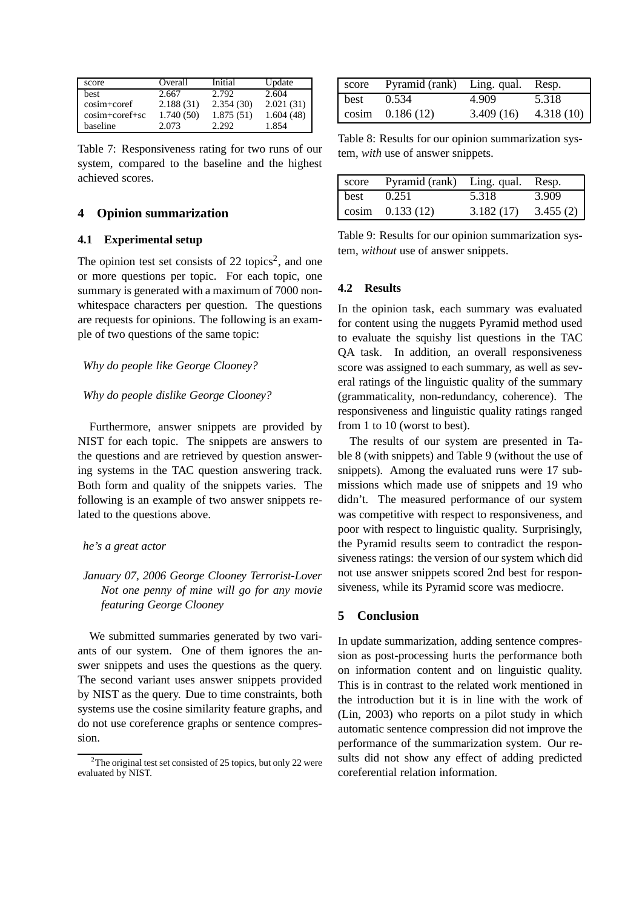| score           | Overall   | Initial   | Update    |
|-----------------|-----------|-----------|-----------|
| best            | 2.667     | 2.792     | 2.604     |
| $cosim + coref$ | 2.188(31) | 2.354(30) | 2.021(31) |
| cosim+coref+sc  | 1.740(50) | 1.875(51) | 1.604(48) |
| baseline        | 2.073     | 2.292     | 1.854     |

Table 7: Responsiveness rating for two runs of our system, compared to the baseline and the highest achieved scores.

## **4 Opinion summarization**

#### **4.1 Experimental setup**

The opinion test set consists of  $22$  topics<sup>2</sup>, and one or more questions per topic. For each topic, one summary is generated with a maximum of 7000 nonwhitespace characters per question. The questions are requests for opinions. The following is an example of two questions of the same topic:

## *Why do people like George Clooney?*

#### *Why do people dislike George Clooney?*

Furthermore, answer snippets are provided by NIST for each topic. The snippets are answers to the questions and are retrieved by question answering systems in the TAC question answering track. Both form and quality of the snippets varies. The following is an example of two answer snippets related to the questions above.

#### *he's a great actor*

# *January 07, 2006 George Clooney Terrorist-Lover Not one penny of mine will go for any movie featuring George Clooney*

We submitted summaries generated by two variants of our system. One of them ignores the answer snippets and uses the questions as the query. The second variant uses answer snippets provided by NIST as the query. Due to time constraints, both systems use the cosine similarity feature graphs, and do not use coreference graphs or sentence compression.

| score | Pyramid (rank) Ling. qual. Resp. |           |           |
|-------|----------------------------------|-----------|-----------|
| best  | 0.534                            | 4.909     | 5.318     |
|       | cosim $0.186(12)$                | 3.409(16) | 4.318(10) |

Table 8: Results for our opinion summarization system, *with* use of answer snippets.

|      | score Pyramid (rank) Ling. qual. Resp. |           |          |
|------|----------------------------------------|-----------|----------|
| best | 0.251                                  | 5.318     | 3.909    |
|      | $\cosim 0.133(12)$                     | 3.182(17) | 3.455(2) |

Table 9: Results for our opinion summarization system, *without* use of answer snippets.

#### **4.2 Results**

In the opinion task, each summary was evaluated for content using the nuggets Pyramid method used to evaluate the squishy list questions in the TAC QA task. In addition, an overall responsiveness score was assigned to each summary, as well as several ratings of the linguistic quality of the summary (grammaticality, non-redundancy, coherence). The responsiveness and linguistic quality ratings ranged from 1 to 10 (worst to best).

The results of our system are presented in Table 8 (with snippets) and Table 9 (without the use of snippets). Among the evaluated runs were 17 submissions which made use of snippets and 19 who didn't. The measured performance of our system was competitive with respect to responsiveness, and poor with respect to linguistic quality. Surprisingly, the Pyramid results seem to contradict the responsiveness ratings: the version of our system which did not use answer snippets scored 2nd best for responsiveness, while its Pyramid score was mediocre.

#### **5 Conclusion**

In update summarization, adding sentence compression as post-processing hurts the performance both on information content and on linguistic quality. This is in contrast to the related work mentioned in the introduction but it is in line with the work of (Lin, 2003) who reports on a pilot study in which automatic sentence compression did not improve the performance of the summarization system. Our results did not show any effect of adding predicted coreferential relation information.

 $2$ The original test set consisted of 25 topics, but only 22 were evaluated by NIST.